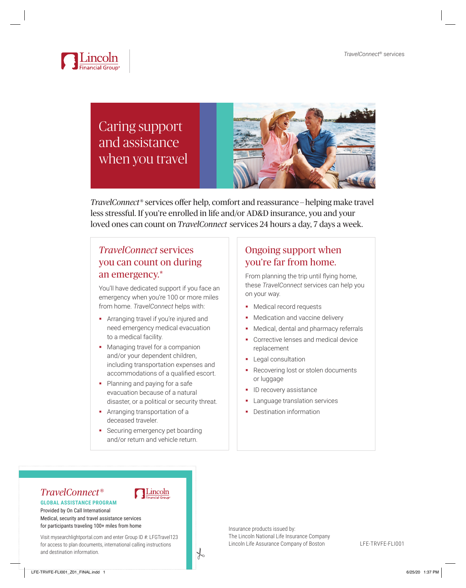

# Caring support and assistance when you travel



*TravelConnect*® services offer help, comfort and reassurance — helping make travel less stressful. If you're enrolled in life and/or AD&D insurance, you and your loved ones can count on *TravelConnect* services 24 hours a day, 7 days a week.

### *TravelConnect* services you can count on during an emergency.\*

You'll have dedicated support if you face an emergency when you're 100 or more miles from home. *TravelConnect* helps with:

- **•** Arranging travel if you're injured and need emergency medical evacuation to a medical facility.
- Managing travel for a companion and/or your dependent children, including transportation expenses and accommodations of a qualified escort.
- Planning and paying for a safe evacuation because of a natural disaster, or a political or security threat.
- **Arranging transportation of a** deceased traveler.
- **Securing emergency pet boarding** and/or return and vehicle return.

Lincoln

 $\frac{1}{6}$ 

## Ongoing support when you're far from home.

From planning the trip until flying home, these *TravelConnect* services can help you on your way.

- **Medical record requests**
- Medication and vaccine delivery
- Medical, dental and pharmacy referrals
- Corrective lenses and medical device replacement
- **Legal consultation**
- Recovering lost or stolen documents or luggage
- ID recovery assistance
- Language translation services
- Destination information

### *TravelConnect*® **GLOBAL ASSISTANCE PROGRAM**

Provided by On Call International Medical, security and travel assistance services for participants traveling 100+ miles from home

Visit mysearchlightportal.com and enter Group ID #: LFGTravel123 for access to plan documents, international calling instructions and destination information.

#### Insurance products issued by: The Lincoln National Life Insurance Company Lincoln Life Assurance Company of Boston